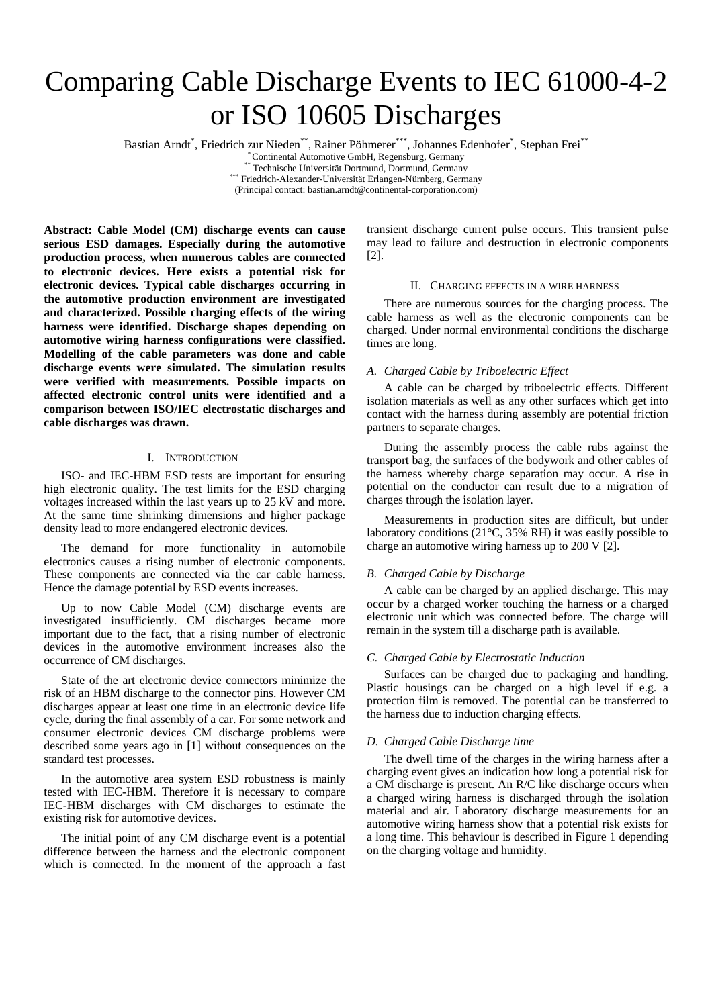# Comparing Cable Discharge Events to IEC 61000-4-2 or ISO 10605 Discharges

Bastian Arndt\*, Friedrich zur Nieden\*\*, Rainer Pöhmerer\*\*\*, Johannes Edenhofer\*, Stephan Frei\*\*

\* Continental Automotive GmbH, Regensburg, Germany \*\* Technische Universität Dortmund, Dortmund, Germany \*\*\* Friedrich-Alexander-Universität Erlangen-Nürnberg, Germany

(Principal contact: bastian.arndt@continental-corporation.com)

**Abstract: Cable Model (CM) discharge events can cause serious ESD damages. Especially during the automotive production process, when numerous cables are connected to electronic devices. Here exists a potential risk for electronic devices. Typical cable discharges occurring in the automotive production environment are investigated and characterized. Possible charging effects of the wiring harness were identified. Discharge shapes depending on automotive wiring harness configurations were classified. Modelling of the cable parameters was done and cable discharge events were simulated. The simulation results were verified with measurements. Possible impacts on affected electronic control units were identified and a comparison between ISO/IEC electrostatic discharges and cable discharges was drawn.** 

### I. INTRODUCTION

ISO- and IEC-HBM ESD tests are important for ensuring high electronic quality. The test limits for the ESD charging voltages increased within the last years up to 25 kV and more. At the same time shrinking dimensions and higher package density lead to more endangered electronic devices.

The demand for more functionality in automobile electronics causes a rising number of electronic components. These components are connected via the car cable harness. Hence the damage potential by ESD events increases.

Up to now Cable Model (CM) discharge events are investigated insufficiently. CM discharges became more important due to the fact, that a rising number of electronic devices in the automotive environment increases also the occurrence of CM discharges.

State of the art electronic device connectors minimize the risk of an HBM discharge to the connector pins. However CM discharges appear at least one time in an electronic device life cycle, during the final assembly of a car. For some network and consumer electronic devices CM discharge problems were described some years ago in [1] without consequences on the standard test processes.

In the automotive area system ESD robustness is mainly tested with IEC-HBM. Therefore it is necessary to compare IEC-HBM discharges with CM discharges to estimate the existing risk for automotive devices.

The initial point of any CM discharge event is a potential difference between the harness and the electronic component which is connected. In the moment of the approach a fast transient discharge current pulse occurs. This transient pulse may lead to failure and destruction in electronic components [2].

## II. CHARGING EFFECTS IN A WIRE HARNESS

There are numerous sources for the charging process. The cable harness as well as the electronic components can be charged. Under normal environmental conditions the discharge times are long.

# *A. Charged Cable by Triboelectric Effect*

A cable can be charged by triboelectric effects. Different isolation materials as well as any other surfaces which get into contact with the harness during assembly are potential friction partners to separate charges.

During the assembly process the cable rubs against the transport bag, the surfaces of the bodywork and other cables of the harness whereby charge separation may occur. A rise in potential on the conductor can result due to a migration of charges through the isolation layer.

Measurements in production sites are difficult, but under laboratory conditions (21°C, 35% RH) it was easily possible to charge an automotive wiring harness up to 200 V [2].

# *B. Charged Cable by Discharge*

A cable can be charged by an applied discharge. This may occur by a charged worker touching the harness or a charged electronic unit which was connected before. The charge will remain in the system till a discharge path is available.

# *C. Charged Cable by Electrostatic Induction*

Surfaces can be charged due to packaging and handling. Plastic housings can be charged on a high level if e.g. a protection film is removed. The potential can be transferred to the harness due to induction charging effects.

# *D. Charged Cable Discharge time*

The dwell time of the charges in the wiring harness after a charging event gives an indication how long a potential risk for a CM discharge is present. An R/C like discharge occurs when a charged wiring harness is discharged through the isolation material and air. Laboratory discharge measurements for an automotive wiring harness show that a potential risk exists for a long time. This behaviour is described in Figure 1 depending on the charging voltage and humidity.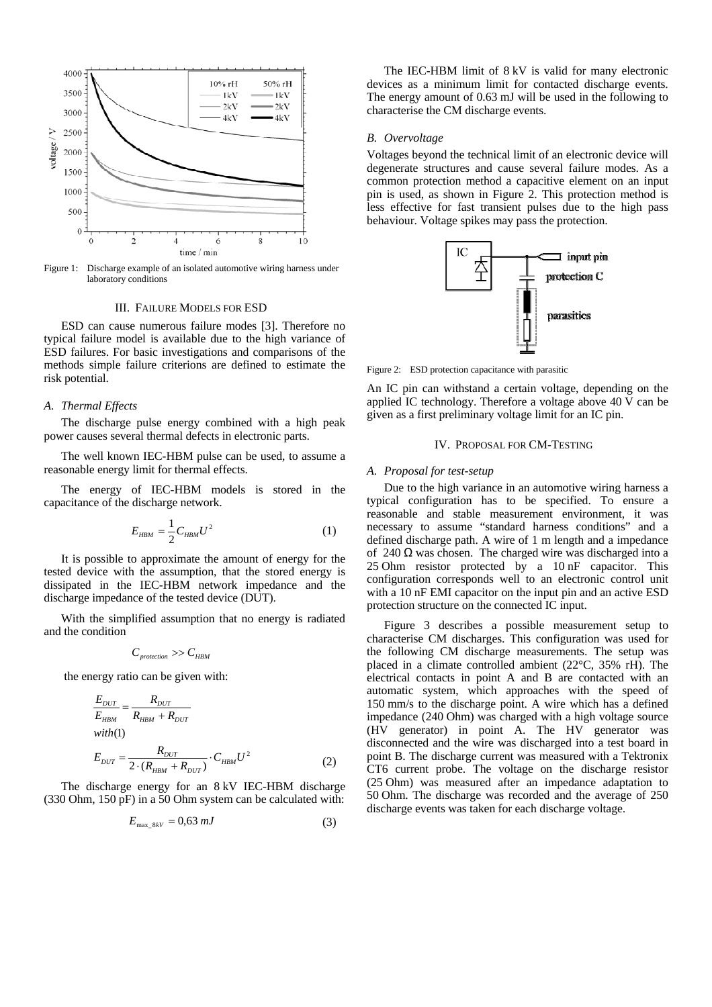

Figure 1: Discharge example of an isolated automotive wiring harness under laboratory conditions

# III. FAILURE MODELS FOR ESD

ESD can cause numerous failure modes [3]. Therefore no typical failure model is available due to the high variance of ESD failures. For basic investigations and comparisons of the methods simple failure criterions are defined to estimate the risk potential.

#### *A. Thermal Effects*

The discharge pulse energy combined with a high peak power causes several thermal defects in electronic parts.

The well known IEC-HBM pulse can be used, to assume a reasonable energy limit for thermal effects.

The energy of IEC-HBM models is stored in the capacitance of the discharge network.

$$
E_{HBM} = \frac{1}{2} C_{HBM} U^2
$$
 (1)

It is possible to approximate the amount of energy for the tested device with the assumption, that the stored energy is dissipated in the IEC-HBM network impedance and the discharge impedance of the tested device (DUT).

With the simplified assumption that no energy is radiated and the condition

$$
C_{\text{protection}} >> C_{\text{HBM}}
$$

the energy ratio can be given with:

$$
\frac{E_{DUT}}{E_{HBM}} = \frac{R_{DUT}}{R_{HBM} + R_{DUT}}
$$
  
with(1)

$$
E_{DUT} = \frac{R_{DUT}}{2 \cdot (R_{HBM} + R_{DUT})} \cdot C_{HBM} U^2
$$
 (2)

The discharge energy for an 8 kV IEC-HBM discharge (330 Ohm, 150 pF) in a 50 Ohm system can be calculated with:

$$
E_{\text{max\_8kV}} = 0.63 \text{ mJ} \tag{3}
$$

The IEC-HBM limit of 8 kV is valid for many electronic devices as a minimum limit for contacted discharge events. The energy amount of 0.63 mJ will be used in the following to characterise the CM discharge events.

#### *B. Overvoltage*

Voltages beyond the technical limit of an electronic device will degenerate structures and cause several failure modes. As a common protection method a capacitive element on an input pin is used, as shown in Figure 2. This protection method is less effective for fast transient pulses due to the high pass behaviour. Voltage spikes may pass the protection.



Figure 2: ESD protection capacitance with parasitic

An IC pin can withstand a certain voltage, depending on the applied IC technology. Therefore a voltage above 40 V can be given as a first preliminary voltage limit for an IC pin.

# IV. PROPOSAL FOR CM-TESTING

#### *A. Proposal for test-setup*

Due to the high variance in an automotive wiring harness a typical configuration has to be specified. To ensure a reasonable and stable measurement environment, it was necessary to assume "standard harness conditions" and a defined discharge path. A wire of 1 m length and a impedance of 240  $\Omega$  was chosen. The charged wire was discharged into a 25 Ohm resistor protected by a 10 nF capacitor. This configuration corresponds well to an electronic control unit with a 10 nF EMI capacitor on the input pin and an active ESD protection structure on the connected IC input.

Figure 3 describes a possible measurement setup to characterise CM discharges. This configuration was used for the following CM discharge measurements. The setup was placed in a climate controlled ambient (22°C, 35% rH). The electrical contacts in point A and B are contacted with an automatic system, which approaches with the speed of 150 mm/s to the discharge point. A wire which has a defined impedance (240 Ohm) was charged with a high voltage source (HV generator) in point A. The HV generator was disconnected and the wire was discharged into a test board in point B. The discharge current was measured with a Tektronix CT6 current probe. The voltage on the discharge resistor (25 Ohm) was measured after an impedance adaptation to 50 Ohm. The discharge was recorded and the average of 250 discharge events was taken for each discharge voltage.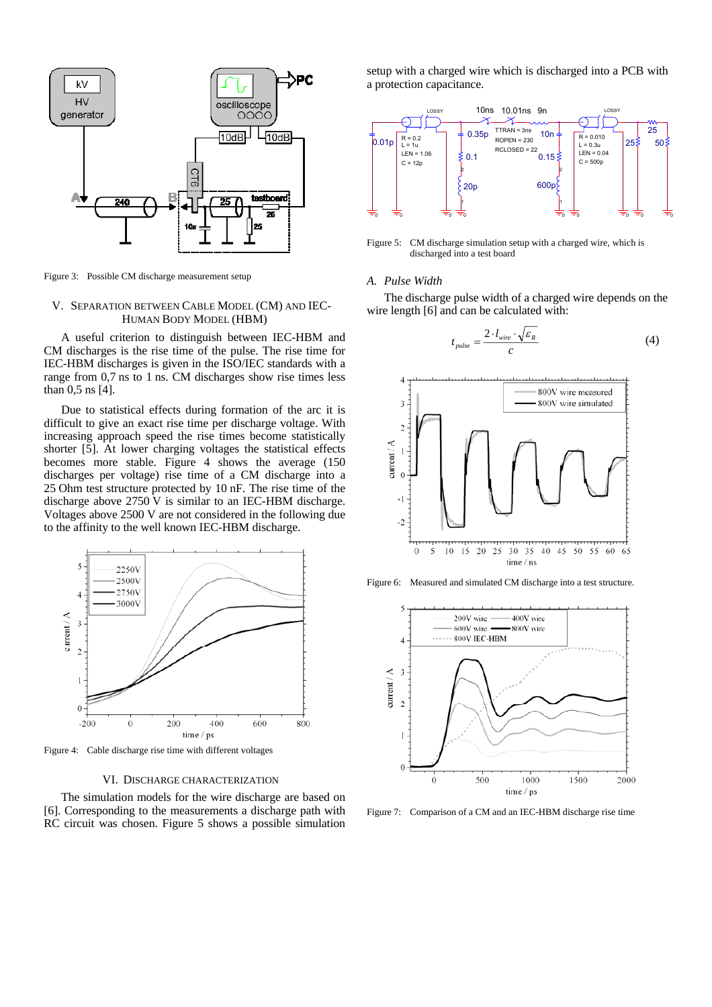

Figure 3: Possible CM discharge measurement setup

# V. SEPARATION BETWEEN CABLE MODEL (CM) AND IEC-HUMAN BODY MODEL (HBM)

A useful criterion to distinguish between IEC-HBM and CM discharges is the rise time of the pulse. The rise time for IEC-HBM discharges is given in the ISO/IEC standards with a range from 0,7 ns to 1 ns. CM discharges show rise times less than 0,5 ns [4].

Due to statistical effects during formation of the arc it is difficult to give an exact rise time per discharge voltage. With increasing approach speed the rise times become statistically shorter [5]. At lower charging voltages the statistical effects becomes more stable. Figure 4 shows the average (150 discharges per voltage) rise time of a CM discharge into a 25 Ohm test structure protected by 10 nF. The rise time of the discharge above 2750 V is similar to an IEC-HBM discharge. Voltages above 2500 V are not considered in the following due to the affinity to the well known IEC-HBM discharge.



Figure 4: Cable discharge rise time with different voltages

# VI. DISCHARGE CHARACTERIZATION

The simulation models for the wire discharge are based on [6]. Corresponding to the measurements a discharge path with RC circuit was chosen. Figure 5 shows a possible simulation setup with a charged wire which is discharged into a PCB with a protection capacitance.



Figure 5: CM discharge simulation setup with a charged wire, which is discharged into a test board

# *A. Pulse Width*

The discharge pulse width of a charged wire depends on the wire length [6] and can be calculated with:

$$
t_{pulse} = \frac{2 \cdot l_{wire} \cdot \sqrt{\varepsilon_R}}{c} \tag{4}
$$



Figure 6: Measured and simulated CM discharge into a test structure.



Figure 7: Comparison of a CM and an IEC-HBM discharge rise time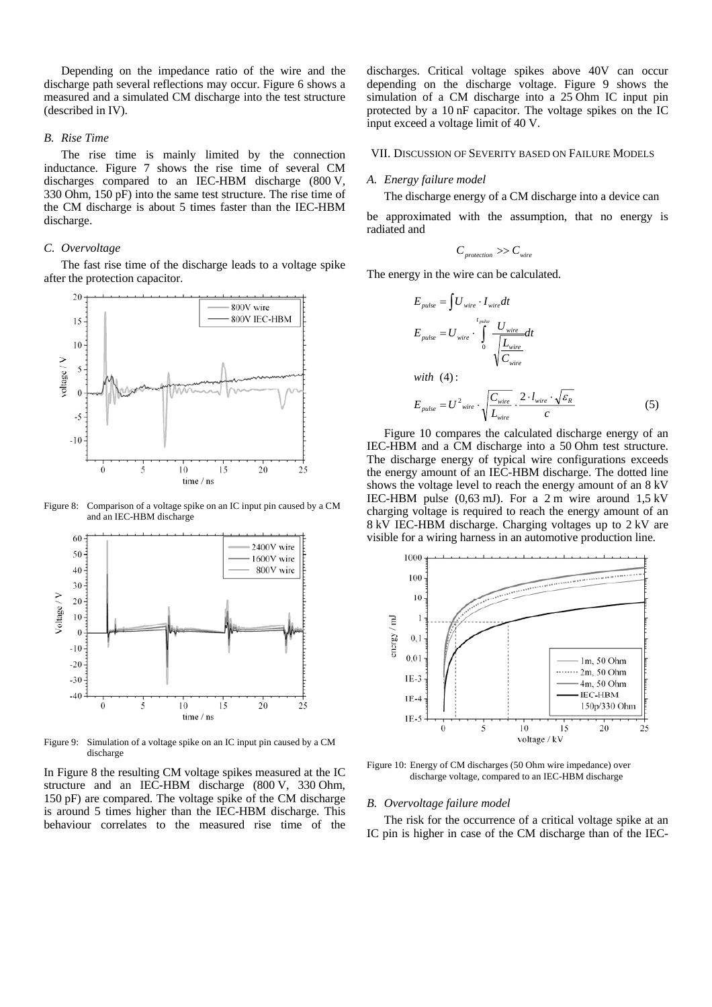Depending on the impedance ratio of the wire and the discharge path several reflections may occur. Figure 6 shows a measured and a simulated CM discharge into the test structure (described in IV).

# *B. Rise Time*

The rise time is mainly limited by the connection inductance. Figure 7 shows the rise time of several CM discharges compared to an IEC-HBM discharge (800 V, 330 Ohm, 150 pF) into the same test structure. The rise time of the CM discharge is about 5 times faster than the IEC-HBM discharge.

# *C. Overvoltage*

The fast rise time of the discharge leads to a voltage spike after the protection capacitor.



Figure 8: Comparison of a voltage spike on an IC input pin caused by a CM and an IEC-HBM discharge



Figure 9: Simulation of a voltage spike on an IC input pin caused by a CM discharge

In Figure 8 the resulting CM voltage spikes measured at the IC structure and an IEC-HBM discharge (800 V, 330 Ohm, 150 pF) are compared. The voltage spike of the CM discharge is around 5 times higher than the IEC-HBM discharge. This behaviour correlates to the measured rise time of the discharges. Critical voltage spikes above 40V can occur depending on the discharge voltage. Figure 9 shows the simulation of a CM discharge into a 25 Ohm IC input pin protected by a 10 nF capacitor. The voltage spikes on the IC input exceed a voltage limit of 40 V.

# VII. DISCUSSION OF SEVERITY BASED ON FAILURE MODELS

#### *A. Energy failure model*

The discharge energy of a CM discharge into a device can

be approximated with the assumption, that no energy is radiated and

$$
C_{\text{protection}} >> C_{\text{wire}}
$$

The energy in the wire can be calculated.

$$
E_{pulse} = \int U_{wire} \cdot I_{wire} dt
$$
  
\n
$$
E_{pulse} = U_{wire} \cdot \int_{0}^{t_{pulse}} \frac{U_{wire}}{\sqrt{\frac{L_{wire}}{C_{wire}}}} dt
$$
  
\nwith (4):  
\n
$$
E_{pulse} = U^2_{wire} \cdot \sqrt{\frac{C_{wire}}{L_{wire}} \cdot \frac{2 \cdot l_{wire} \cdot \sqrt{\varepsilon_R}}{c}}
$$
 (5)

Figure 10 compares the calculated discharge energy of an IEC-HBM and a CM discharge into a 50 Ohm test structure. The discharge energy of typical wire configurations exceeds the energy amount of an IEC-HBM discharge. The dotted line shows the voltage level to reach the energy amount of an 8 kV IEC-HBM pulse (0,63 mJ). For a 2 m wire around 1,5 kV charging voltage is required to reach the energy amount of an 8 kV IEC-HBM discharge. Charging voltages up to 2 kV are visible for a wiring harness in an automotive production line.



Figure 10: Energy of CM discharges (50 Ohm wire impedance) over discharge voltage, compared to an IEC-HBM discharge

# *B. Overvoltage failure model*

The risk for the occurrence of a critical voltage spike at an IC pin is higher in case of the CM discharge than of the IEC-